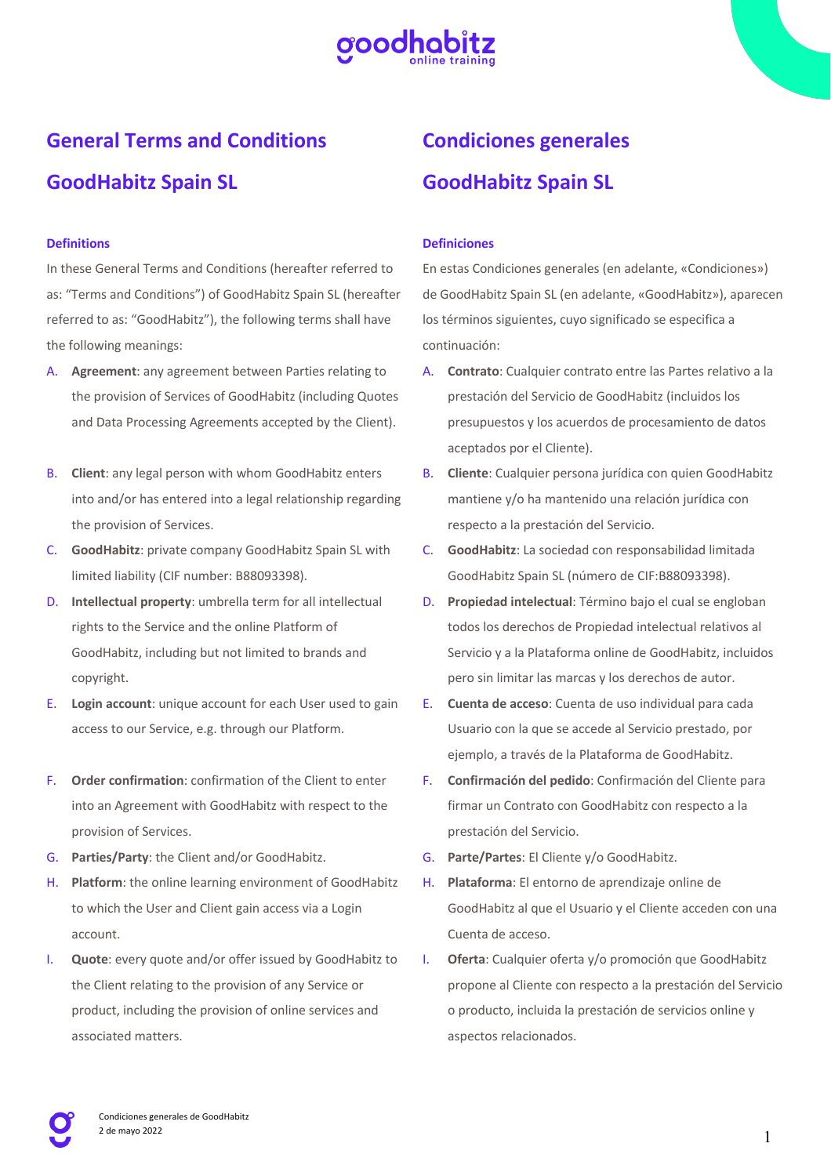

# **General Terms and Conditions GoodHabitz Spain SL**

# **Definitions**

In these General Terms and Conditions (hereafter referred to as: "Terms and Conditions") of GoodHabitz Spain SL (hereafter referred to as: "GoodHabitz"), the following terms shall have the following meanings:

- A. **Agreement**: any agreement between Parties relating to the provision of Services of GoodHabitz (including Quotes and Data Processing Agreements accepted by the Client).
- B. **Client**: any legal person with whom GoodHabitz enters into and/or has entered into a legal relationship regarding the provision of Services.
- C. **GoodHabitz**: private company GoodHabitz Spain SL with limited liability (CIF number: B88093398).
- D. **Intellectual property**: umbrella term for all intellectual rights to the Service and the online Platform of GoodHabitz, including but not limited to brands and copyright.
- E. **Login account**: unique account for each User used to gain access to our Service, e.g. through our Platform.
- F. **Order confirmation**: confirmation of the Client to enter into an Agreement with GoodHabitz with respect to the provision of Services.
- G. **Parties/Party**: the Client and/or GoodHabitz.
- H. **Platform**: the online learning environment of GoodHabitz to which the User and Client gain access via a Login account.
- I. **Quote**: every quote and/or offer issued by GoodHabitz to the Client relating to the provision of any Service or product, including the provision of online services and associated matters.

# **Condiciones generales GoodHabitz Spain SL**

#### **Definiciones**

En estas Condiciones generales (en adelante, «Condiciones») de GoodHabitz Spain SL (en adelante, «GoodHabitz»), aparecen los términos siguientes, cuyo significado se especifica a continuación:

- A. **Contrato**: Cualquier contrato entre las Partes relativo a la prestación del Servicio de GoodHabitz (incluidos los presupuestos y los acuerdos de procesamiento de datos aceptados por el Cliente).
- B. **Cliente**: Cualquier persona jurídica con quien GoodHabitz mantiene y/o ha mantenido una relación jurídica con respecto a la prestación del Servicio.
- C. **GoodHabitz**: La sociedad con responsabilidad limitada GoodHabitz Spain SL (número de CIF:B88093398).
- D. **Propiedad intelectual**: Término bajo el cual se engloban todos los derechos de Propiedad intelectual relativos al Servicio y a la Plataforma online de GoodHabitz, incluidos pero sin limitar las marcas y los derechos de autor.
- E. **Cuenta de acceso**: Cuenta de uso individual para cada Usuario con la que se accede al Servicio prestado, por ejemplo, a través de la Plataforma de GoodHabitz.
- F. **Confirmación del pedido**: Confirmación del Cliente para firmar un Contrato con GoodHabitz con respecto a la prestación del Servicio.
- G. **Parte/Partes**: El Cliente y/o GoodHabitz.
- H. **Plataforma**: El entorno de aprendizaje online de GoodHabitz al que el Usuario y el Cliente acceden con una Cuenta de acceso.
- I. **Oferta**: Cualquier oferta y/o promoción que GoodHabitz propone al Cliente con respecto a la prestación del Servicio o producto, incluida la prestación de servicios online y aspectos relacionados.

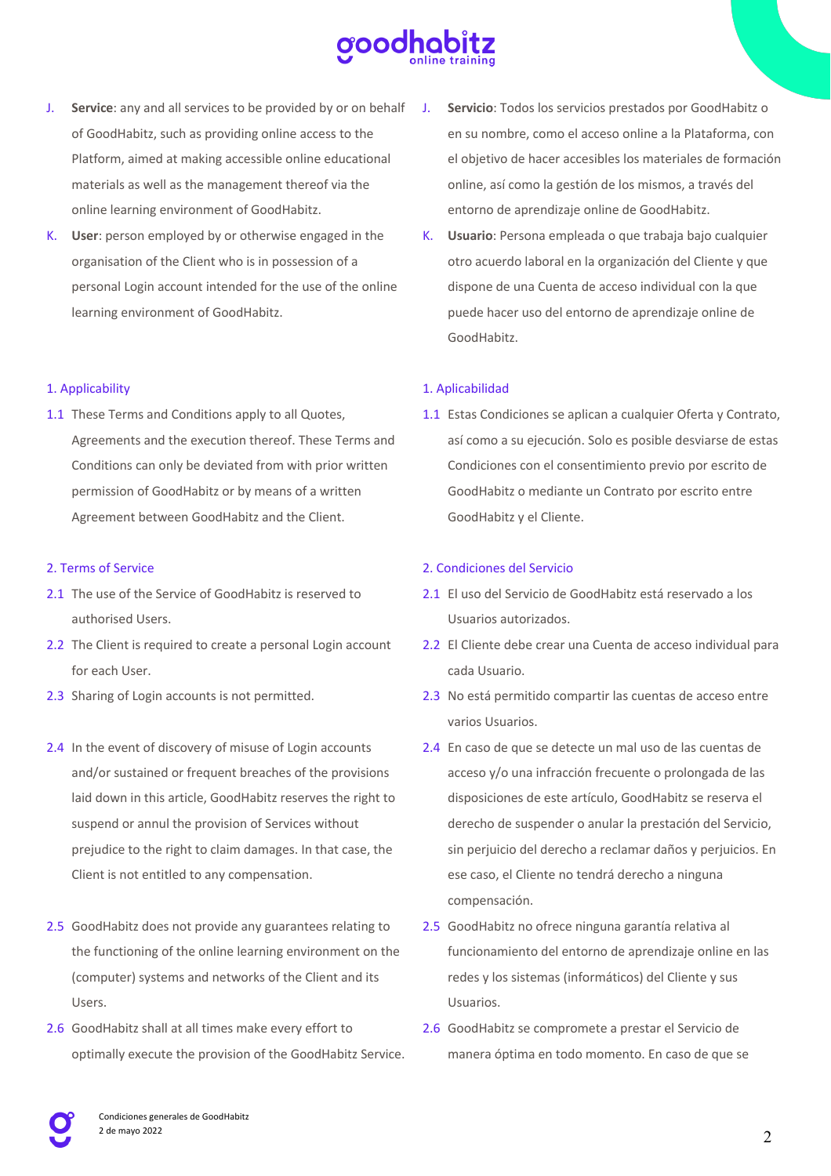

- J. **Service**: any and all services to be provided by or on behalf of GoodHabitz, such as providing online access to the Platform, aimed at making accessible online educational materials as well as the management thereof via the online learning environment of GoodHabitz.
- K. **User**: person employed by or otherwise engaged in the organisation of the Client who is in possession of a personal Login account intended for the use of the online learning environment of GoodHabitz.

### 1. Applicability

1.1 These Terms and Conditions apply to all Quotes, Agreements and the execution thereof. These Terms and Conditions can only be deviated from with prior written permission of GoodHabitz or by means of a written Agreement between GoodHabitz and the Client.

#### 2. Terms of Service

- 2.1 The use of the Service of GoodHabitz is reserved to authorised Users.
- 2.2 The Client is required to create a personal Login account for each User.
- 2.3 Sharing of Login accounts is not permitted.
- 2.4 In the event of discovery of misuse of Login accounts and/or sustained or frequent breaches of the provisions laid down in this article, GoodHabitz reserves the right to suspend or annul the provision of Services without prejudice to the right to claim damages. In that case, the Client is not entitled to any compensation.
- 2.5 GoodHabitz does not provide any guarantees relating to the functioning of the online learning environment on the (computer) systems and networks of the Client and its Users.
- 2.6 GoodHabitz shall at all times make every effort to optimally execute the provision of the GoodHabitz Service.
- Servicio: Todos los servicios prestados por GoodHabitz o en su nombre, como el acceso online a la Plataforma, con el objetivo de hacer accesibles los materiales de formación online, así como la gestión de los mismos, a través del entorno de aprendizaje online de GoodHabitz.
- K. **Usuario**: Persona empleada o que trabaja bajo cualquier otro acuerdo laboral en la organización del Cliente y que dispone de una Cuenta de acceso individual con la que puede hacer uso del entorno de aprendizaje online de GoodHabitz.

# 1. Aplicabilidad

1.1 Estas Condiciones se aplican a cualquier Oferta y Contrato, así como a su ejecución. Solo es posible desviarse de estas Condiciones con el consentimiento previo por escrito de GoodHabitz o mediante un Contrato por escrito entre GoodHabitz y el Cliente.

#### 2. Condiciones del Servicio

- 2.1 El uso del Servicio de GoodHabitz está reservado a los Usuarios autorizados.
- 2.2 El Cliente debe crear una Cuenta de acceso individual para cada Usuario.
- 2.3 No está permitido compartir las cuentas de acceso entre varios Usuarios.
- 2.4 En caso de que se detecte un mal uso de las cuentas de acceso y/o una infracción frecuente o prolongada de las disposiciones de este artículo, GoodHabitz se reserva el derecho de suspender o anular la prestación del Servicio, sin perjuicio del derecho a reclamar daños y perjuicios. En ese caso, el Cliente no tendrá derecho a ninguna compensación.
- 2.5 GoodHabitz no ofrece ninguna garantía relativa al funcionamiento del entorno de aprendizaje online en las redes y los sistemas (informáticos) del Cliente y sus Usuarios.
- 2.6 GoodHabitz se compromete a prestar el Servicio de manera óptima en todo momento. En caso de que se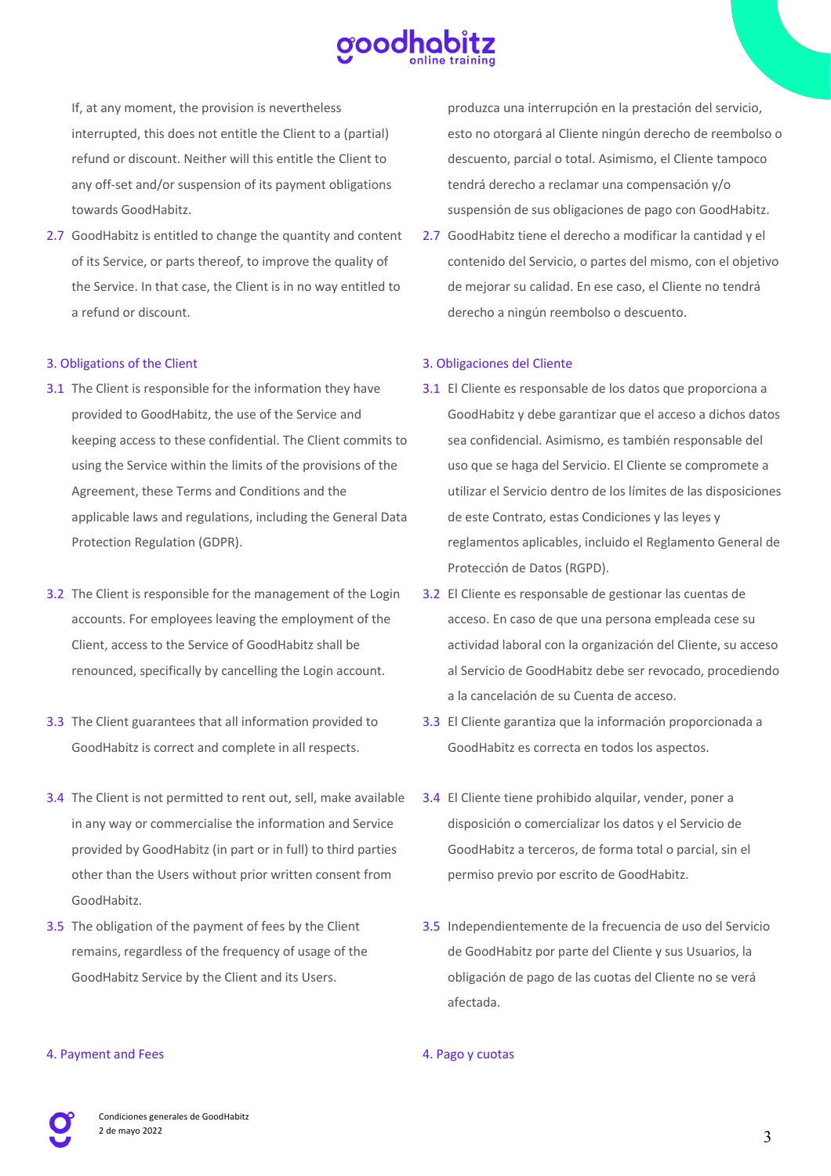

If, at any moment, the provision is nevertheless interrupted, this does not entitle the Client to a (partial) refund or discount. Neither will this entitle the Client to any off-set and/or suspension of its payment obligations towards GoodHabitz.

2.7 GoodHabitz is entitled to change the quantity and content of its Service, or parts thereof, to improve the quality of the Service. In that case, the Client is in no way entitled to a refund or discount.

#### 3. Obligations of the Client

- 3.1 The Client is responsible for the information they have provided to GoodHabitz, the use of the Service and keeping access to these confidential. The Client commits to using the Service within the limits of the provisions of the Agreement, these Terms and Conditions and the applicable laws and regulations, including the General Data Protection Regulation (GDPR).
- 3.2 The Client is responsible for the management of the Login accounts. For employees leaving the employment of the Client, access to the Service of GoodHabitz shall be renounced, specifically by cancelling the Login account.
- 3.3 The Client guarantees that all information provided to GoodHabitz is correct and complete in all respects.
- 3.4 The Client is not permitted to rent out, sell, make available in any way or commercialise the information and Service provided by GoodHabitz (in part or in full) to third parties other than the Users without prior written consent from GoodHabitz.
- 3.5 The obligation of the payment of fees by the Client remains, regardless of the frequency of usage of the GoodHabitz Service by the Client and its Users.

produzca una interrupción en la prestación del servicio, esto no otorgará al Cliente ningún derecho de reembolso o descuento, parcial o total. Asimismo, el Cliente tampoco tendrá derecho a reclamar una compensación y/o suspensión de sus obligaciones de pago con GoodHabitz.

2.7 GoodHabitz tiene el derecho a modificar la cantidad y el contenido del Servicio, o partes del mismo, con el objetivo de mejorar su calidad. En ese caso, el Cliente no tendrá derecho a ningún reembolso o descuento.

# 3. Obligaciones del Cliente

- 3.1 El Cliente es responsable de los datos que proporciona a GoodHabitz y debe garantizar que el acceso a dichos datos sea confidencial. Asimismo, es también responsable del uso que se haga del Servicio. El Cliente se compromete a utilizar el Servicio dentro de los límites de las disposiciones de este Contrato, estas Condiciones y las leyes y reglamentos aplicables, incluido el Reglamento General de Protección de Datos (RGPD).
- 3.2 El Cliente es responsable de gestionar las cuentas de acceso. En caso de que una persona empleada cese su actividad laboral con la organización del Cliente, su acceso al Servicio de GoodHabitz debe ser revocado, procediendo a la cancelación de su Cuenta de acceso.
- 3.3 El Cliente garantiza que la información proporcionada a GoodHabitz es correcta en todos los aspectos.
- 3.4 El Cliente tiene prohibido alquilar, vender, poner a disposición o comercializar los datos y el Servicio de GoodHabitz a terceros, de forma total o parcial, sin el permiso previo por escrito de GoodHabitz.
- 3.5 Independientemente de la frecuencia de uso del Servicio de GoodHabitz por parte del Cliente y sus Usuarios, la obligación de pago de las cuotas del Cliente no se verá afectada.

#### 4. Pago y cuotas

# 4. Payment and Fees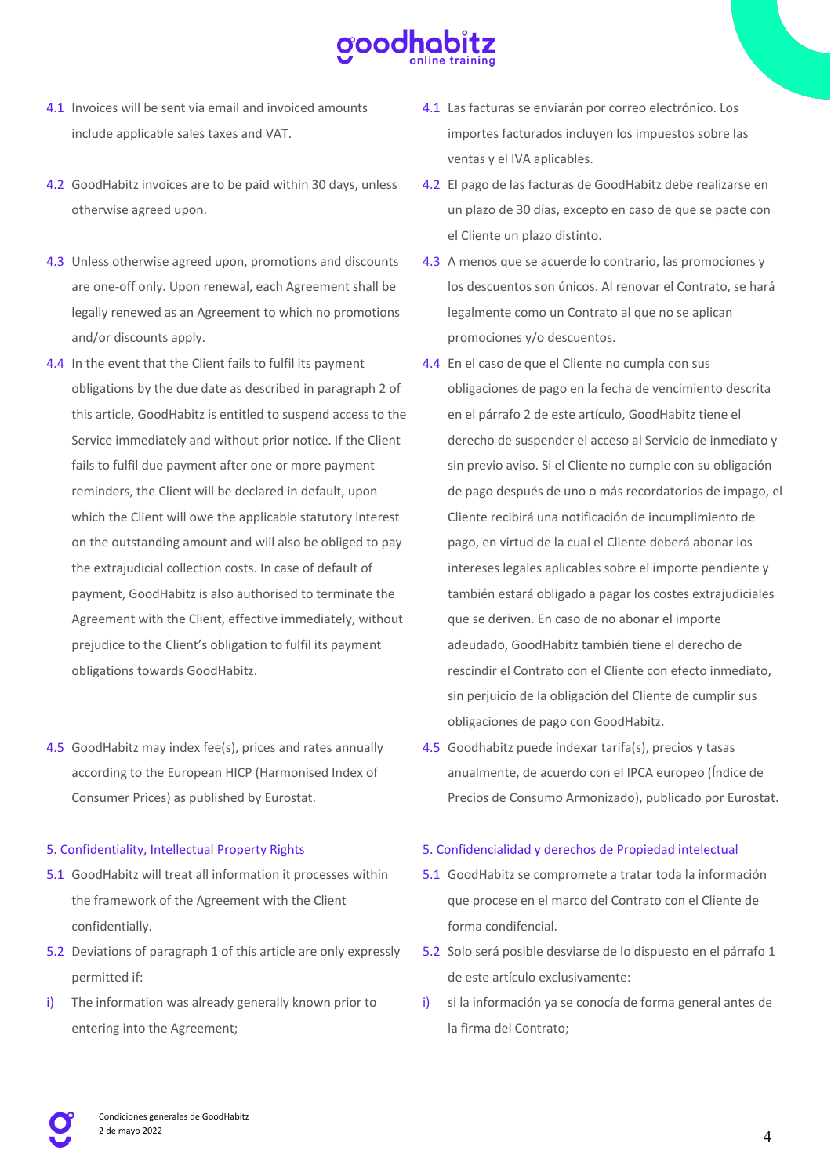

- 4.1 Invoices will be sent via email and invoiced amounts include applicable sales taxes and VAT.
- 4.2 GoodHabitz invoices are to be paid within 30 days, unless otherwise agreed upon.
- 4.3 Unless otherwise agreed upon, promotions and discounts are one-off only. Upon renewal, each Agreement shall be legally renewed as an Agreement to which no promotions and/or discounts apply.
- 4.4 In the event that the Client fails to fulfil its payment obligations by the due date as described in paragraph 2 of this article, GoodHabitz is entitled to suspend access to the Service immediately and without prior notice. If the Client fails to fulfil due payment after one or more payment reminders, the Client will be declared in default, upon which the Client will owe the applicable statutory interest on the outstanding amount and will also be obliged to pay the extrajudicial collection costs. In case of default of payment, GoodHabitz is also authorised to terminate the Agreement with the Client, effective immediately, without prejudice to the Client's obligation to fulfil its payment obligations towards GoodHabitz.
- 4.5 GoodHabitz may index fee(s), prices and rates annually according to the European HICP (Harmonised Index of Consumer Prices) as published by Eurostat.

#### 5. Confidentiality, Intellectual Property Rights

- 5.1 GoodHabitz will treat all information it processes within the framework of the Agreement with the Client confidentially.
- 5.2 Deviations of paragraph 1 of this article are only expressly permitted if:
- i) The information was already generally known prior to entering into the Agreement;
- 4.1 Las facturas se enviarán por correo electrónico. Los importes facturados incluyen los impuestos sobre las ventas y el IVA aplicables.
- 4.2 El pago de las facturas de GoodHabitz debe realizarse en un plazo de 30 días, excepto en caso de que se pacte con el Cliente un plazo distinto.
- 4.3 A menos que se acuerde lo contrario, las promociones y los descuentos son únicos. Al renovar el Contrato, se hará legalmente como un Contrato al que no se aplican promociones y/o descuentos.
- 4.4 En el caso de que el Cliente no cumpla con sus obligaciones de pago en la fecha de vencimiento descrita en el párrafo 2 de este artículo, GoodHabitz tiene el derecho de suspender el acceso al Servicio de inmediato y sin previo aviso. Si el Cliente no cumple con su obligación de pago después de uno o más recordatorios de impago, el Cliente recibirá una notificación de incumplimiento de pago, en virtud de la cual el Cliente deberá abonar los intereses legales aplicables sobre el importe pendiente y también estará obligado a pagar los costes extrajudiciales que se deriven. En caso de no abonar el importe adeudado, GoodHabitz también tiene el derecho de rescindir el Contrato con el Cliente con efecto inmediato, sin perjuicio de la obligación del Cliente de cumplir sus obligaciones de pago con GoodHabitz.
- 4.5 Goodhabitz puede indexar tarifa(s), precios y tasas anualmente, de acuerdo con el IPCA europeo (Índice de Precios de Consumo Armonizado), publicado por Eurostat.

#### 5. Confidencialidad y derechos de Propiedad intelectual

- 5.1 GoodHabitz se compromete a tratar toda la información que procese en el marco del Contrato con el Cliente de forma condifencial.
- 5.2 Solo será posible desviarse de lo dispuesto en el párrafo 1 de este artículo exclusivamente:
- si la información ya se conocía de forma general antes de la firma del Contrato;

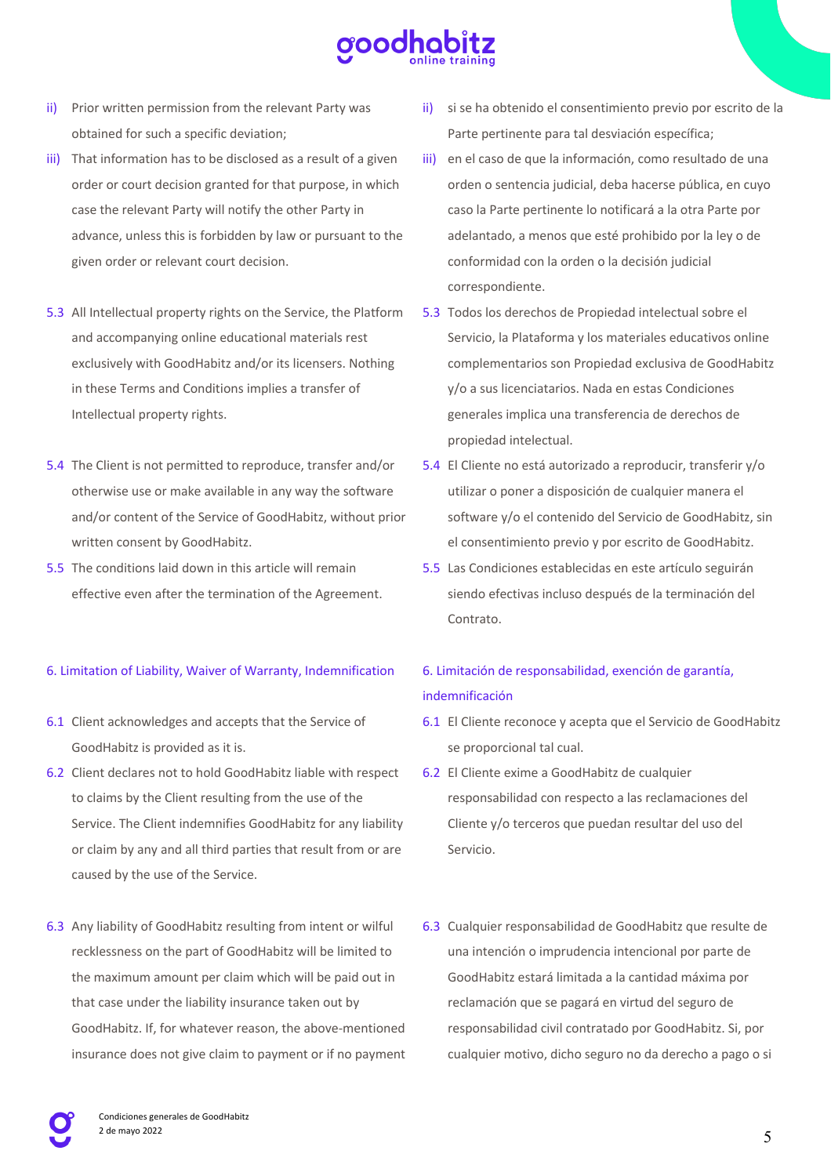

- ii) Prior written permission from the relevant Party was obtained for such a specific deviation;
- iii) That information has to be disclosed as a result of a given order or court decision granted for that purpose, in which case the relevant Party will notify the other Party in advance, unless this is forbidden by law or pursuant to the given order or relevant court decision.
- 5.3 All Intellectual property rights on the Service, the Platform and accompanying online educational materials rest exclusively with GoodHabitz and/or its licensers. Nothing in these Terms and Conditions implies a transfer of Intellectual property rights.
- 5.4 The Client is not permitted to reproduce, transfer and/or otherwise use or make available in any way the software and/or content of the Service of GoodHabitz, without prior written consent by GoodHabitz.
- 5.5 The conditions laid down in this article will remain effective even after the termination of the Agreement.

# 6. Limitation of Liability, Waiver of Warranty, Indemnification

- 6.1 Client acknowledges and accepts that the Service of GoodHabitz is provided as it is.
- 6.2 Client declares not to hold GoodHabitz liable with respect to claims by the Client resulting from the use of the Service. The Client indemnifies GoodHabitz for any liability or claim by any and all third parties that result from or are caused by the use of the Service.
- 6.3 Any liability of GoodHabitz resulting from intent or wilful recklessness on the part of GoodHabitz will be limited to the maximum amount per claim which will be paid out in that case under the liability insurance taken out by GoodHabitz. If, for whatever reason, the above-mentioned insurance does not give claim to payment or if no payment
- ii) si se ha obtenido el consentimiento previo por escrito de la Parte pertinente para tal desviación específica;
- iii) en el caso de que la información, como resultado de una orden o sentencia judicial, deba hacerse pública, en cuyo caso la Parte pertinente lo notificará a la otra Parte por adelantado, a menos que esté prohibido por la ley o de conformidad con la orden o la decisión judicial correspondiente.
- 5.3 Todos los derechos de Propiedad intelectual sobre el Servicio, la Plataforma y los materiales educativos online complementarios son Propiedad exclusiva de GoodHabitz y/o a sus licenciatarios. Nada en estas Condiciones generales implica una transferencia de derechos de propiedad intelectual.
- 5.4 El Cliente no está autorizado a reproducir, transferir y/o utilizar o poner a disposición de cualquier manera el software y/o el contenido del Servicio de GoodHabitz, sin el consentimiento previo y por escrito de GoodHabitz.
- 5.5 Las Condiciones establecidas en este artículo seguirán siendo efectivas incluso después de la terminación del Contrato.

# 6. Limitación de responsabilidad, exención de garantía, indemnificación

- 6.1 El Cliente reconoce y acepta que el Servicio de GoodHabitz se proporcional tal cual.
- 6.2 El Cliente exime a GoodHabitz de cualquier responsabilidad con respecto a las reclamaciones del Cliente y/o terceros que puedan resultar del uso del Servicio.
- 6.3 Cualquier responsabilidad de GoodHabitz que resulte de una intención o imprudencia intencional por parte de GoodHabitz estará limitada a la cantidad máxima por reclamación que se pagará en virtud del seguro de responsabilidad civil contratado por GoodHabitz. Si, por cualquier motivo, dicho seguro no da derecho a pago o si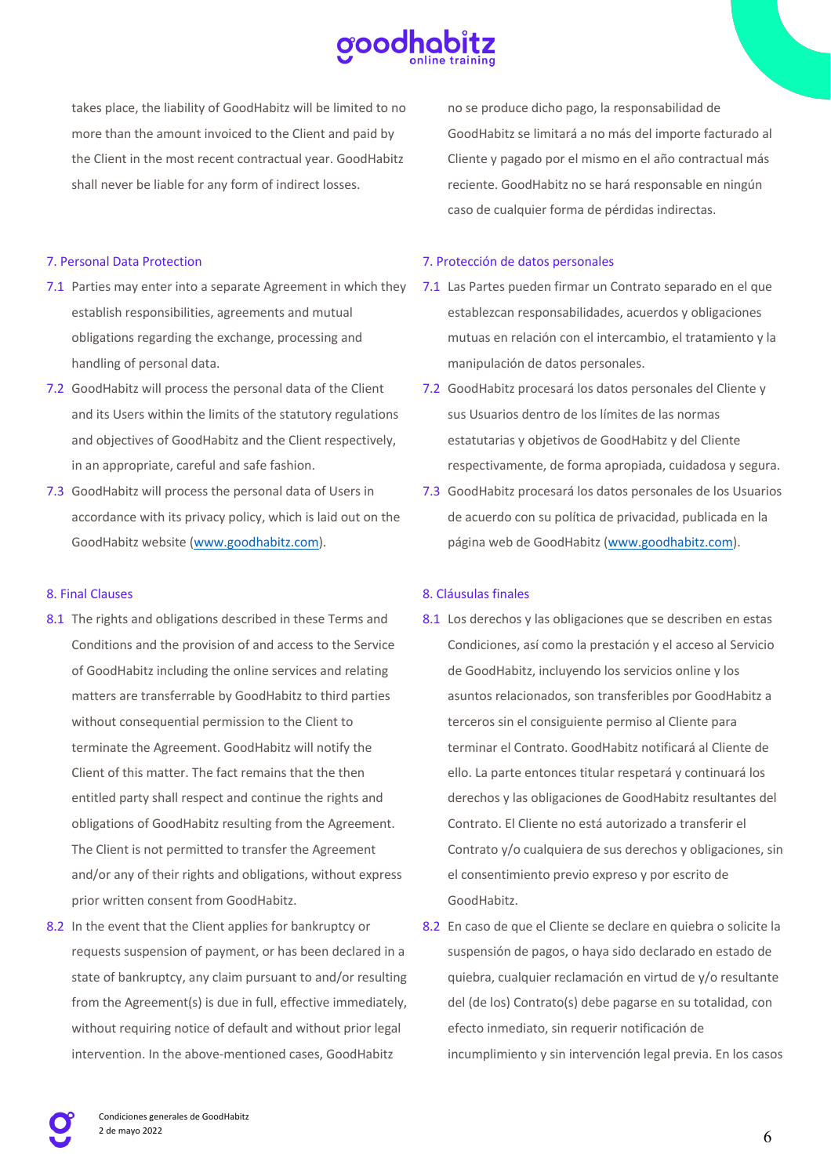

takes place, the liability of GoodHabitz will be limited to no more than the amount invoiced to the Client and paid by the Client in the most recent contractual year. GoodHabitz shall never be liable for any form of indirect losses.

7. Personal Data Protection

- 7.1 Parties may enter into a separate Agreement in which they establish responsibilities, agreements and mutual obligations regarding the exchange, processing and handling of personal data.
- 7.2 GoodHabitz will process the personal data of the Client and its Users within the limits of the statutory regulations and objectives of GoodHabitz and the Client respectively, in an appropriate, careful and safe fashion.
- 7.3 GoodHabitz will process the personal data of Users in accordance with its privacy policy, which is laid out on the GoodHabitz website (www.goodhabitz.com).

# 8. Final Clauses

- 8.1 The rights and obligations described in these Terms and Conditions and the provision of and access to the Service of GoodHabitz including the online services and relating matters are transferrable by GoodHabitz to third parties without consequential permission to the Client to terminate the Agreement. GoodHabitz will notify the Client of this matter. The fact remains that the then entitled party shall respect and continue the rights and obligations of GoodHabitz resulting from the Agreement. The Client is not permitted to transfer the Agreement and/or any of their rights and obligations, without express prior written consent from GoodHabitz.
- 8.2 In the event that the Client applies for bankruptcy or requests suspension of payment, or has been declared in a state of bankruptcy, any claim pursuant to and/or resulting from the Agreement(s) is due in full, effective immediately, without requiring notice of default and without prior legal intervention. In the above-mentioned cases, GoodHabitz

no se produce dicho pago, la responsabilidad de GoodHabitz se limitará a no más del importe facturado al Cliente y pagado por el mismo en el año contractual más reciente. GoodHabitz no se hará responsable en ningún caso de cualquier forma de pérdidas indirectas.

# 7. Protección de datos personales

- 7.1 Las Partes pueden firmar un Contrato separado en el que establezcan responsabilidades, acuerdos y obligaciones mutuas en relación con el intercambio, el tratamiento y la manipulación de datos personales.
- 7.2 GoodHabitz procesará los datos personales del Cliente y sus Usuarios dentro de los límites de las normas estatutarias y objetivos de GoodHabitz y del Cliente respectivamente, de forma apropiada, cuidadosa y segura.
- 7.3 GoodHabitz procesará los datos personales de los Usuarios de acuerdo con su política de privacidad, publicada en la página web de GoodHabitz (www.goodhabitz.com).

# 8. Cláusulas finales

- 8.1 Los derechos y las obligaciones que se describen en estas Condiciones, así como la prestación y el acceso al Servicio de GoodHabitz, incluyendo los servicios online y los asuntos relacionados, son transferibles por GoodHabitz a terceros sin el consiguiente permiso al Cliente para terminar el Contrato. GoodHabitz notificará al Cliente de ello. La parte entonces titular respetará y continuará los derechos y las obligaciones de GoodHabitz resultantes del Contrato. El Cliente no está autorizado a transferir el Contrato y/o cualquiera de sus derechos y obligaciones, sin el consentimiento previo expreso y por escrito de GoodHabitz.
- 8.2 En caso de que el Cliente se declare en quiebra o solicite la suspensión de pagos, o haya sido declarado en estado de quiebra, cualquier reclamación en virtud de y/o resultante del (de los) Contrato(s) debe pagarse en su totalidad, con efecto inmediato, sin requerir notificación de incumplimiento y sin intervención legal previa. En los casos